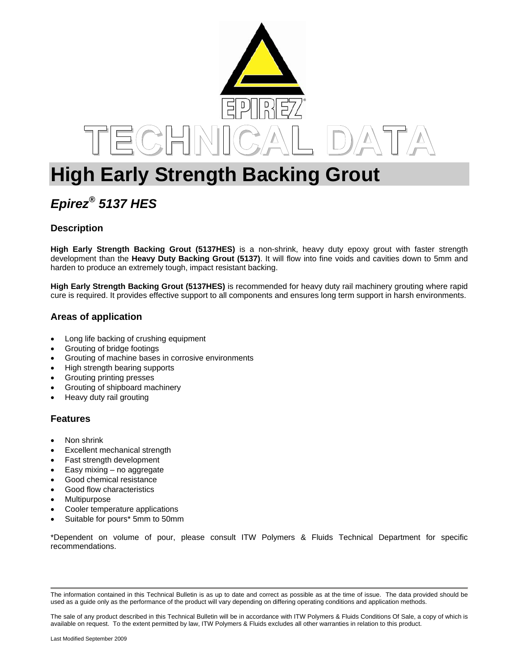

# **High Early Strength Backing Grout**

# *Epirez® 5137 HES*

# **Description**

**High Early Strength Backing Grout (5137HES)** is a non-shrink, heavy duty epoxy grout with faster strength development than the **Heavy Duty Backing Grout (5137)**. It will flow into fine voids and cavities down to 5mm and harden to produce an extremely tough, impact resistant backing.

**High Early Strength Backing Grout (5137HES)** is recommended for heavy duty rail machinery grouting where rapid cure is required. It provides effective support to all components and ensures long term support in harsh environments.

# **Areas of application**

- Long life backing of crushing equipment
- Grouting of bridge footings
- Grouting of machine bases in corrosive environments
- High strength bearing supports
- Grouting printing presses
- Grouting of shipboard machinery
- Heavy duty rail grouting

#### **Features**

- Non shrink
- Excellent mechanical strength
- Fast strength development
- Easy mixing no aggregate
- Good chemical resistance
- Good flow characteristics
- **Multipurpose**
- Cooler temperature applications
- Suitable for pours\* 5mm to 50mm

\*Dependent on volume of pour, please consult ITW Polymers & Fluids Technical Department for specific recommendations.

The information contained in this Technical Bulletin is as up to date and correct as possible as at the time of issue. The data provided should be used as a guide only as the performance of the product will vary depending on differing operating conditions and application methods.

The sale of any product described in this Technical Bulletin will be in accordance with ITW Polymers & Fluids Conditions Of Sale, a copy of which is available on request. To the extent permitted by law, ITW Polymers & Fluids excludes all other warranties in relation to this product.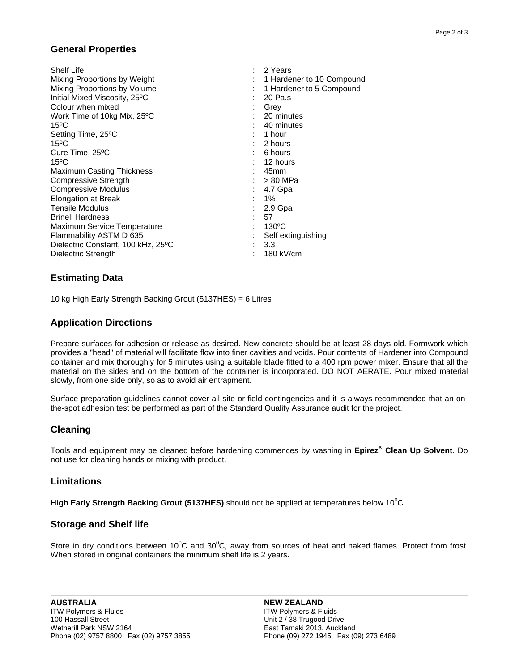### **General Properties**

| <b>Shelf Life</b>                  | : 2 Years                 |
|------------------------------------|---------------------------|
| Mixing Proportions by Weight       | 1 Hardener to 10 Compound |
| Mixing Proportions by Volume       | 1 Hardener to 5 Compound  |
| Initial Mixed Viscosity, 25°C      | 20 Pa.s                   |
| Colour when mixed                  | Grey                      |
| Work Time of 10kg Mix, 25°C        | 20 minutes                |
| $15^{\circ}$ C                     | 40 minutes                |
| Setting Time, 25°C                 | 1 hour                    |
| $15^{\circ}$ C                     | 2 hours                   |
| Cure Time, 25°C                    | : 6 hours                 |
| $15^{\circ}$ C                     | 12 hours                  |
| Maximum Casting Thickness          | 45mm                      |
| Compressive Strength               | $: >80$ MPa               |
| <b>Compressive Modulus</b>         | 4.7 Gpa                   |
| <b>Elongation at Break</b>         | 1%                        |
| <b>Tensile Modulus</b>             | 2.9 Gpa                   |
| <b>Brinell Hardness</b>            | 57                        |
| Maximum Service Temperature        | $130^{\circ}$ C           |
| Flammability ASTM D 635            | Self extinguishing        |
| Dielectric Constant, 100 kHz, 25°C | 3.3                       |
| Dielectric Strength                | 180 kV/cm                 |

### **Estimating Data**

10 kg High Early Strength Backing Grout (5137HES) = 6 Litres

### **Application Directions**

Prepare surfaces for adhesion or release as desired. New concrete should be at least 28 days old. Formwork which provides a "head" of material will facilitate flow into finer cavities and voids. Pour contents of Hardener into Compound container and mix thoroughly for 5 minutes using a suitable blade fitted to a 400 rpm power mixer. Ensure that all the material on the sides and on the bottom of the container is incorporated. DO NOT AERATE. Pour mixed material slowly, from one side only, so as to avoid air entrapment.

Surface preparation guidelines cannot cover all site or field contingencies and it is always recommended that an onthe-spot adhesion test be performed as part of the Standard Quality Assurance audit for the project.

# **Cleaning**

Tools and equipment may be cleaned before hardening commences by washing in **Epirez® Clean Up Solvent**. Do not use for cleaning hands or mixing with product.

#### **Limitations**

**High Early Strength Backing Grout (5137HES)** should not be applied at temperatures below 10<sup>0</sup>C.

#### **Storage and Shelf life**

Store in dry conditions between 10<sup>°</sup>C and 30<sup>°</sup>C, away from sources of heat and naked flames. Protect from frost. When stored in original containers the minimum shelf life is 2 years.